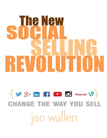# he New **REVOLUTIO**

## **CHANGE THE WAY YOU SELL** jan wallen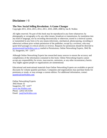#### **Disclaimer / ©**

#### **The New Social Selling Revolution: A Game Changer**

Copyright 2015, 2014, 2013, 2012, 2011, 2010, 2009, 2008 by Jan B. Wallen

All rights reserved. No part of this book may be reproduced in any form whatsoever; by photography or xerography or by any other means, broadcast or transmission, by translation into any kind of language, nor by recording electronically or otherwise; stored in a retrieval system, or transmitted in any form or by any means (electronic, mechanical, photocopying, recording or otherwise) without prior written permission of the publisher, except by a reviewer, who may quote brief passages in critical articles or reviews. Requests for permission should be directed to [permissions@JanWallen.com](mailto:permissions@JanWallen.com) or mailed to Permissions, Online Networking Experts, 3042 Rt. 32, Saugerties, NY 12477.

Although Online Networking Experts has researched many sources to ensure the accuracy and completeness of the information contained in this book. Online Networking Experts cannot accept any responsibility for errors, inaccuracies, omissions, or any other inconsistency herein. Any slights against people or organizations are unintentional.

Educational and motivational materials from Online Networking Experts are available at special discounts for volume quantity purchases. Companies and organizations may purchase books for premiums or resale, or may arrange a custom edition. For additional information, contact [quantity@JanWallen.com.](mailto:quantity@JanWallen.com)

Online Networking Experts 3042 Route 32 Saugerties, NY 12477 www.Jan Wallen.com Phone: (203) 545-6104 Email: [jan@JanWallen.com](mailto:quality@JanWallen.com)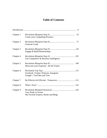#### **Table of Contents**

| Chapter 1 | <b>Create your Compelling Presence</b>                               |
|-----------|----------------------------------------------------------------------|
| Chapter 2 | <b>Generate Leads</b>                                                |
| Chapter 3 | Engage & Build Relationships                                         |
| Chapter 4 | Use Competitive & Business Intelligence                              |
| Chapter 5 | Showcase your Expertise - Be the Expert                              |
| Chapter 6 | Facebook, Twitter, Pinterest, Instagram<br>Google+, YouTube and Vine |
| Chapter 7 |                                                                      |
| Chapter 8 |                                                                      |
| Chapter 9 | Case Study in Action<br>My Favorite Experts, Books and Blogs         |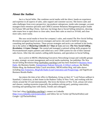#### **About the Author**

Jan is a Social Seller. She combines social media with her direct, hands-on experience and expertise in all aspects of sales, sales support and customer success. She knows sales and sales challenges from every perspective: top producer salesperson, inside sales manager, account manager/client retention specialist and CRM (Customer Relations Management) project leader for Fortune 500 and Big 4 firms. And now Jan brings that to Social Selling initiatives, showing sales teams how to open doors to close sales, boost their sales as much as 10-fold, and close more sales, more easily.

She uses social media to boost her company's sales, and created *The New Social Selling Revolution* program based on proven strategies and tactics she used to build her training, consulting and speaking business. These proven strategies and tactics are outlined in her books. Jan is the author of *Mastering LinkedIn in 7 Days or Less* and now *The New Social Selling Revolution: A Game Changer*. She started and managed a national selling skills program for PricewaterhouseCoopers partners and rolled out a new CRM system for one of their national sales forces. After that she started a selling skills business, and specializes in Social Selling.

Jan is active in MENG (Marketing Executives Networking Group) and LinkedIn groups in sales, strategic account management and social media marketing. Jan publishes *The New Social Selling Revolution* blog (JanWallen.com/blog/),and has been featured in [Business News](http://www.businessnewsdaily.com/586-social-networking-linkedin-uncertain-future.html)  [Daily,](http://www.businessnewsdaily.com/586-social-networking-linkedin-uncertain-future.html) the Business Insider, [Entrepreneur Podcast Network,](file:///C:/Users/Jan/Desktop/2012%20PROMO%20Mats/ePodcastNetwork.com) [iCANny's webcast,](http://www.ustream.tv/channel/hvfci-june-2012) the Shelley Palmer Blog, the Redmond Sales Coach newsletter, MENGonline blog, and radio shows including [Into Tomorrow,](file:///C:/Users/Jan/Desktop/2012%20PROMO%20Mats/:%20http:/www.graveline.com/pastshows/Show_Notes_For_The_Weekend_Of_February_3_2012.html) BlogTalk Radio (Lead Generation and Prospecting), and Significant Business Results Radio.

Jan enjoys the time at her office in Manhattan, living on their 41" Lord Nelson sailboat in Stamford, Connecticut, at their home in the Hudson Valley of New York, and working with her clients around the US and internationally. She loves the history of New York, artisan red wines and cheeses, reading mysteries (especially the problem-solving part), painting watercolors, traveling and spending time with family, friends and colleagues.

Visit Jan's blog (JanWallen.com/blog/), connect on LinkedIn [\(http://www.linkedin.com/in/janwallen\)](http://www.linkedin.com/in/janwallen), and follow her on Twitter (@TheJanWallen) and Google+ (@TheJanWallen).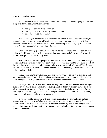#### **How to Use this Book**

Social media has started a new revolution in B2B selling that few salespeople know how to tap into. In this book, you'll learn how to

- easily contact key decision-makers
- quickly build trust, credibility and rapport, and
- close more sales, more easily

You'll never again need to make another cold call or feel rejected. You'll save time, be happier in your job, improve your self-confidence and boost your sales as much as 10-fold! Successful Social Sellers know they'll spend their time closing sales, not trying to open doors. This is *The New Social Selling Revolution* – Join us!

With social selling, generating more sales can be easier  $-i f$  you know the best practices and the right things to do. If not, it's a waste of time, and can actually hurt your sales. You'll learn the best practices – what really works.

This book is for busy salespeople, account executives, account managers, sales managers, professionals and business owners who don't have a lot of time and want to get results *now*. I cut through all the extraneous material so you don't have to sift through it all yourself. It's for you whether you're starting to use LinkedIn and social media, or whether you have 500+ connections and use LinkedIn daily.

In this book, you'll learn best practices and exactly what to do for your own sales and business development. You'll discover what to do in easy-to-read steps, and you'll be able to apply what you learn to your own sales territory, accounts and business development.

When you're a part of The New Social Selling Revolution, you'll create and save highly targeted prospect lists, build relationships, leverage relationships you already have, start more sales conversations, have a steady stream of meetings, receive InMail responses even if they don't reply to your emails, gain business and competitive intelligence, share relevant content, speed up the sales cycle, and win more business.

Your best and fastest results will come from focusing on the proven *Social Selling Revolution Blueprint* steps, and choosing your best track to get started. My approach is practical and results-oriented. It's not too technical. Even if you're not very tech-savvy, and you don't have a lot of time, you'll learn easily how to maximize social selling for your lead generation and to win more business.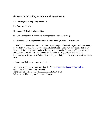#### *The New Social Selling Revolution Blueprint* **Steps:**

#### **#1 – Create your Compelling Presence**

#### **#2 – Generate Leads**

**#3 – Engage & Build Relationships**

#### **#4 – Use Competitive & Business Intelligence to Your Advantage**

#### **#5 – Showcase your Expertise: Be the Expert, Thought Leader & Influencer**

You'll find Insider Secrets and Action Steps throughout the book so you can immediately apply what you learn. These are recommendations based on my own experience, that of my clients and of others who use social selling with social media. As you join The New Social Selling Revolution and use social media more and more for your sales and business development, write your own Action Steps and apply what you learn to your own situation and goals.

Let's connect. Tell me you read my book.

I invite you to connect with me on LinkedIn [\(http://www.linkedin.com/in/janwallen\)](http://www.linkedin.com/in/janwallen). Follow me on Twitter (@thejanwallen) Friend me on Facebook (www.Facebook.com/TheJanWallen) Follow me / Add me to your Circles on Google+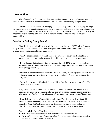#### **Introduction**

The sales world is changing rapidly  $-$  Are you keeping up? Is your sales team keeping up? Are you or your sales team spending their time closing sales or trying to open doors?

LinkedIn and social media are changing the way we buy and sell. It's changing the ways buyers, sellers and companies interact, and the way decision-makers make their buying decision. The traditional methods no longer work. And if you're not using the social sites and tools at your fingertips, you're making sales more difficult than it has to be and missing out on sales opportunities.

#### **Does Social Selling Really Work?**

LinkedIn is the social selling network for business-to-business (B2B) sales. A recent study of salespeople, entrepreneurs, sales managers, consultants and services providers who had revenue-generating responsibilities found that:

- "89.9% of respondents view LinkedIn as essential. Top sellers use LinkedIn as a strategic resource that can be leverage in multiple ways to create more opportunities
- LinkedIn contributes to opportunity creation. Overall, 4.9% of survey respondents attributed 'lots' of opportunities to their LinkedIn usage, while another 39.4% attributed "several" opportunities.

• Prospect research is the most frequent LinkedIn activity. And it's paying off with 61.4% of those who do so saying they're successful at initiating offline conversations with prospects.

• Top sellers use more of LinkedIn's capabilities. And they use them more often. The difference is often striking.

• Top sellers pay attention to their professional presence. Two of the most valuable activities on LinkedIn are sharing relevant content and showcasing personal expertise. The one-third of sellers taking advantage of this opportunity say it pays off handsomely.

• Knowledge of LinkedIn's capabilities is limited. The biggest challenge (stated by 58.0% of the respondents) is that they don't know how to use what's available from LinkedIn. And, 41.2% of respondents say they lack the time to learn and/or use LinkedIn." *(Cracking the LinkedIn Sales Code, [http://bit.ly/Crack-LI-Sales-Code\)](http://bit.ly/Crack-LI-Sales-Code)* 

Another study by InsideView found that:

- **10%** of executives respond to cold calls or unsolicited emails, yet
- **84%** will engage with a salesperson when they are connected through a friend or colleague and offer value *(InsideView)*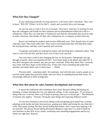#### **What Else Has Changed?**

If your marketing materials are long narratives, your buyers don't read them. They want to know "WII-FM" (What's In It For Me?) - clearly and concisely like a text message.

No one has time to read or do a lot of research. They know what they're looking for and they ask colleagues and friends for their opinions and recommendations before they talk to a salesperson. When they see what they're looking for and find the information they need in order to make a decision, they decide. Or they call a salesperson for a company on their short-list.

Buyers are looking for products and services differently now. They already have in mind what they want. They look online first. They want to see information that will help them make the buying decision, and they want it quickly and concisely.

Companies and people are looking for experts and checking their credentials online. They want to work with the best, and don't have a lot of time to do research.

Our crazy-busy world is also changing the way we do business. Salespeople can't get through to buyers. Have you experienced this? Your buyer looks at the phone and caller ID. If they don't recognize the number, they put you into voicemail. When they check their voicemail, they listen with their finger on the Delete Key. If they don't hear something that grabs their attention and makes them want to listen more . . . Delete.

Priorities shift – sometimes daily. We multitask. And with this time crunch, people are in reaction mode rather than proactive mode, and can't focus on anything beyond their noses. It's increasingly difficult to think strategically.

#### **What does that mean for sales, business development and revenue?**

It means the traditional sales techniques don't work. Because selling and buying are changing, it means changing the way you approach selling. As the saying goes, "If you keep on doing what you've always done, you'll keep on getting what you've always got." The definition of insanity also applies: "Insanity: Doing the same things and expecting different results."

To win more business in the social selling world and getting up-to-speed fast, it means adopting social media and sales best practices, gaining new habits and losing the ones that don't work. That means joining The New Social Selling Revolution. Don't waste time figuring it all out yourself. The proven *Social Selling Revolution Blueprint* steps that I've used to build my own business so that 95% of my clients, workshops and consulting engagements and for my clients are right here. Read on.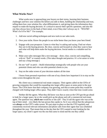#### **What Works Now?**

What works now is approaching your buyers on their terms, learning their business challenges and how your solution fits before you talk to them, building the relationship and trust, telling them how your solution fits, what differentiates it, and giving them the information they require to make the buying decision. It's critical to answer their specific questions, and also the one they always have in the back of their mind, even if they don't always say it: 'WII-FM? – What's In It For Me?" For example,

- 1. Add new social selling techniques and new tools to our sales tools.
- 2. Own your niche. Know the people in our niche better than you know your best friend.
- 3. Engage with your prospects: Listen to what they're asking and saying. Find out where they are in the buying process. Be clear, concise and focused on what they want to hear and what will help them make the buying decision. Social media is a valuable tool for this.
- 4. Make your sales messages like a text message short, clear, concise and compelling, with no "fluff" or wasted words. (This takes thought and practice. It's a lot easier to write and say a long message.)
- 5. Do not "sell" or pitch -- Build relationships strategically with people who are your potential clients and who can refer potential clients to you.
- 6. Stay on the radar screen of your decision-makers all the time

I know from personal experience with one of my clients how important it is to stay on the radar screen throughout the year.

My client was a commercial real estate company. Their agents called on the CFOs of growing companies that would be expanding into larger office space at some point in the near future. The CFOs knew that their company was growing, and that at some point they would be charged with finding larger office space. They didn't know exactly when that time would come.

Neither did the agents. What they did know was that as soon as the CFO got the go-ahead to look for a larger space, he or she would pick up the phone and call a commercial real estate agent. The question was, *which one* would he or she call? They'd call the agent who was at the top of their mind – very likely the last person they spoke to. So it was critical that the salesperson was *always* on the CFO's radar screen. We put steps in place so that the CFO regularly and consistently received relevant information and phone calls from their agent that was scheduled throughout the year. That meant that on the day that the CFO wanted to start looking for the larger space, my client's agent was the one that came to mind and the one they called.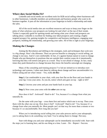#### **Where does Social Media Fit?**

LinkedIn and social media are excellent tools for B2B social selling where businesses sell to other businesses. LinkedIn members are professionals and business people who want to do business together. It puts all the information at your fingertips to build a relationship and make the sales.

All of the social media sites are excellent resources and ways to keep your finger on the pulse of what solutions your prospects are looking for and what's at the top of their minds. Twitter is especially good for spotting trends and seeing what your clients and prospects are talking about. LinkedIn is excellent for finding your ideal prospects and creating a highly targeted prospect list, gaining insights for competitive and business intelligence, engaging your prospects, building the relationship, and growing your sales. All of this is right at your fingertips.

#### **Making the Changes**

Joining the Revolution and shifting to the strategies, tools and techniques that work now is a big change. Here's the dilemma: There are proven benefits to changing to social selling, yet change is not easy. And it's not comfortable. In fact, it's against human nature to want to change. People who put themselves in positions that are outside their comfort zones do it intentionally, knowing that they will stretch and grow as a result. They're not afraid of change. In fact, many times they push themselves to change because they know the benefits outweigh not changing.

Many of the consulting and training projects I've led are initiatives to introduce new technology and systems. I often start them by talking about change and how uncomfortable it is. Follow along and see what I mean – Yes, really *do this:* 

**Step 1.** Get comfortable in your chair, with your feet flat on the floor and your hands in your lap. Cross your arms. As you do, notice which arm goes on top – right or left?

**Step 2.** Uncross your arms and put your hands back in your lap.

**Step 3.** Now cross your arms with the *other* arm on top.

How does it feel? Awkward? Hard to do? Yes, because it's a change from what you naturally do.

Do the same with your legs – cross them first and notice which one is on top. Then cross them with the other one on top. How does it feel? Awkward? Hard to do? Yes, because it's a change from what you naturally do. Most people can't sit that way for more than a minute or two because it's so uncomfortable. How long did you last?

When you're introducing social selling into your sales process and to your salespeople, you're asking them to do something very hard. You're asking them to change. Not easy.

Start with things you and your salespeople can be immediately successful with. Start with the steps you're learning here, and do one thing at a time. Learn  $-$  Do  $-$  Repeat  $=$  Success.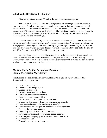#### **Which is the Best Social Media Site?**

Many of my clients ask me, "Which is the best social networking site?"

The answer: It depends  $\dots$  The best site(s) for you are the one(s) where the people in your buyers are. To sell your products and services, you must be in front of your buyers and decision-makers. In the real estate business, it's "location, location, location." In sales and marketing, it's "frequency, frequency, frequency." They must see you often, see that you're the experts and know how your company is different from others they are considering so they choose to work with and buy from you.

If you concentrate primarily on LinkedIn because everyone else you know is, and your buyers are on Facebook or other sites, you're missing opportunities. Your buyers won't see you or engage with you enough to build a relationship or get to the point where they know, like and trust you if you're not where they are. That is, your K-L-T Triad isn't in place. Take the quiz on page 70 to find out if your K-L-T Triad foundation is in place.

You may have a presence on all the major social media sites, and participate equally on all of them rather than the one or two where your buyers are. If so, you're also missing opportunities. Your social media analytics and results they show will give you the best indication of where to concentrate to get the best results.

#### *The New Social Selling Revolution Blueprint* **= Closing More Sales, More Easily**

Social selling and social media are powerful tools. When you follow my *Social Selling Revolution Blueprint*, you can:

- $\checkmark$  Increase your sales
- $\checkmark$  Generate leads and prospects
- $\checkmark$  Engage our prospects
- $\checkmark$  Break into new vertical markets
- $\checkmark$  Get in the door to new companies.
- $\checkmark$  Open the door to opportunities.
- $\checkmark$  Quickly find and reach your decision-makers
- $\checkmark$  Bypass the gatekeeper there's no gatekeeper on LinkedIn
- $\checkmark$  Leverage the business relationships you already have
- $\checkmark$  Penetrate accounts in-depth for more sales to existing clients
- $\checkmark$  Facilitate face-to-face meetings
- $\checkmark$  Get quality referrals that turn into business
- $\checkmark$  Have a steady stream of opportunities at our fingertips
- $\checkmark$  Position your company go-to experts so clients come to us
- $\checkmark$  Increase our sales
- $\checkmark$  Streamline our sales. And more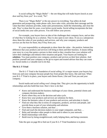Is social selling the "Magic Bullet" -- the *one* thing that will make buyers knock at your door and buy from you? In a word, "No".

There is no "Magic Bullet" or the one answer to everything. Top sellers do lead generation and prospecting, make phone calls, have sales visits, articulate their message and the value that their solutions provides, make sales presentations, build the relationship, and close the sale. They've done that for years, even before social media. Social selling incorporates the best of social media into your sales process. You still follow your process.

For example, your buyers have an idea of the challenges their company faces, and an idea of what they're looking for as a solution. They're also open to new ideas. If you as a salesperson show them the value of your products and services, and why your company, products and services are the best for them, they'll buy from you.

It's your responsibility as salespeople to show them the value – the positive, bottom-line difference that your products and services will bring to them and their business. It means telling your story in a way that paints a picture in their mind so they visualize how your solution will solve their challenges and enhance their situation and goals. Your buyers are looking for *solutions*. You must position your company, products and services as their best solution. And position yourself and your company as the go-to expert and trusted advisor that they can count on. Social media is a valuable tool to do that.

#### **The K-L-T-Triad**

The K-L-T Triad is the foundation of social selling. It's a major reason your buyers buy from you and your company because people buy from people they know, like and trust. When your K-L-T Triad is in place, your buyers and clients Know, Like and Trust you and your company.

Social media and social selling won't change that. They give you the opportunity to build relationships and also build that trust. Here's how to do that:

- $\checkmark$  Know and understand the business challenges of your clients, potential clients and company decision-makers.
- $\checkmark$  Know where they are in the decision and sales cycle.
- $\checkmark$  Know how your products and services are solutions for them.
- $\checkmark$  Know the business value of your products and services, and articulate it clearly.
- $\checkmark$  Find out what they like in terms of companies, products, services and people, and provide those as part of your relationship and solutions
- $\checkmark$  Give them a business solution, and then ...
- $\checkmark$  Find and reach the decision-makers in your target companies, and then ...
- $\checkmark$  Refer and introduce other people to them and to others in your network.
- $\checkmark$  Build relationships with them.
- $\checkmark$  Build trust by being straightforward, really helping them, and being consistent.

Take the quiz on page 84 to find out if your K-L-T Triad foundation is in place.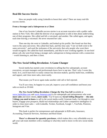#### **Real-life Success Stories**

How are people really using LinkedIn to boost their sales? There are many real-life success stories.

#### **From a Stranger and a Salesperson to a Client**

One of my favorite LinkedIn success stories is an account executive with a public radio station in New York. She called the director of an organization to talk to him about underwriting one of their programs. She called and left a voicemail, and another. She called again, and again, each time leaving a voicemail. He never returned her calls.

Then one day she went to LinkedIn, and looked up his profile. She found out that they went to the same university. She called him back, and this time said, "I see we both went to the same university", and used the nickname of the university that only people who went there would recognize. He called her back immediately, and they're now working together. In one brief phone call, she went from being a stranger and a salesperson to being someone with a connection – worth listening to, and then a client.

#### **The New Social Selling Revolution: A Game Changer**

Social media has started a new revolution in selling that few salespeople, account executives, account managers and professionals know how to tap into. That's why I wrote this book. In it, you'll learn how to easily contact key decision-makers, quickly build trust, credibility and rapport, and close more sales, more easily.

That means you'll never again make another cold call or feel rejected.

You'll save time, be happier in your job, improve your self-confidence and boost your sales as much as 10-fold.

*The New Social Selling Revolution: Change the Way You Sell* (available at [www.JanWallen.com](http://www.janwallen.com/) and [www.Amazon.com\)](http://www.amazon.com/) is for salespeople and entrepreneurs who want **more sales** and more clients, **more easily**. You'll learn my *Social Selling Blueprint* -- **the only 5 things you need to know** to sell in the social media world: Generate leads, Get through to your buyers, Engage your prospects, Build real relationships and Gather competitive intelligence in order to close more sales -- with LinkedIn, Twitter, Facebook, Google +, YouTube, Pinterest, Instagram and Vine.

This book is perfect for entrepreneurs and salespeople in B2B sales, Insurance, Accounting, Financial Services, Attorneys and Real Estate.

**There's a discount for quantity purchases**, which makes this a very affordable way to gift your sale team members with a roadmap to what they need to know in the new social media world.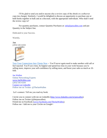I'll be glad to send you and/or anyone else a review copy of the ebook or a softcover copy (no charge). Similarly, I would be delighted to discuss an opportunity to purchase one or both books together in bulk and at a discount, with the appropriate individuals. Who shall I send the review copy to?

For quantity purchases, contact Quantity Purchases at: [info@janwallen.com](mailto:info@janwallen.com) and put Quantity in the Subject line.

Dedicated to your Success.

Warmly,

**Jan** (203) 545-6104



[Turn Your Connections Into Clients Now](http://janwallen.com/ebooks/) -- You'll never again need to make another cold call or feel rejected. You'll save time, be happier and spend less time in your work because you're selling more, improve your self-confidence by selling more, and boost your sales as much as 10 fold.

Jan Wallen Online Networking Experts [www.JanWallen.com](http://www.janwallen.com/) (203) 545-6104 [Connect on LinkedIn](http://www.linkedin.com/in/janwallen) Follow me on Twitter: @TheJanWallen

Let's connect. Tell me you read my book.

I invite you to connect with me on LinkedIn [\(http://www.linkedin.com/in/janwallen\)](http://www.linkedin.com/in/janwallen). Follow me on Twitter (@thejanwallen) Friend me on Facebook [\(www.Facebook.com/TheJanWallen\)](http://www.facebook.com/TheJanWallen) Follow me / Add me to your Circles on Google+